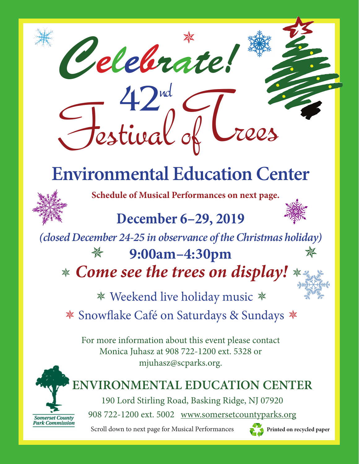

# **Environmental Education Center**

Trees

Celebrate!

42nd

Festival of

**Schedule of Musical Performances on next page.**

## **December 6–29, 2019**



\*

*(closed December 24-25 in observance of the Christmas holiday)*

## **9:00am–4:30pm**

 *Come see the trees on display!* 

\* Weekend live holiday music \*

\* Snowflake Café on Saturdays & Sundays \*

For more information about this event please contact Monica Juhasz at 908 722-1200 ext. 5328 or mjuhasz@scparks.org.



**ENVIRONMENTAL EDUCATION CENTER**

190 Lord Stirling Road, Basking Ridge, NJ 07920

908 722-1200 ext. 5002 www.somersetcountyparks.org

Scroll down to next page for Musical Performances



**Printed on recycled paper**